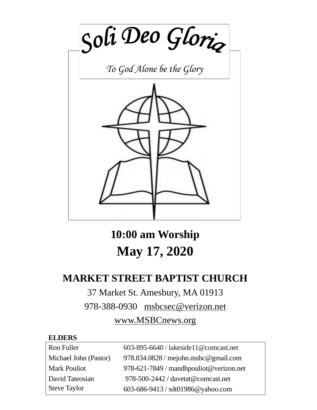

**10:00 am Worship May 17, 2020**

# **MARKET STREET BAPTIST CHURCH**

# 37 Market St. Amesbury, MA 01913

978-388-0930 [msbcsec@verizon.net](mailto:msgbcsec@verizon.net)

# [www.MSBCnews.org](http://www.msbcnews.org/)

# **ELDERS**

| Ron Fuller            | 603-895-6640 / lakeside11@comcast.net   |
|-----------------------|-----------------------------------------|
| Michael John (Pastor) | $978.834.0828$ / mejohn.msbc@gmail.com  |
| <b>Mark Pouliot</b>   | 978-621-7849 / mandhpouliot@verizon.net |
| David Tateosian       | 978-500-2442 / davetat@comcast.net      |
| Steve Taylor          | 603-686-9413 / sdt01986@yahoo.com       |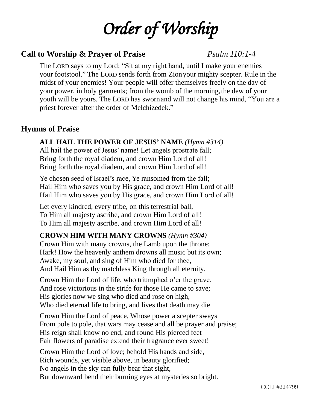# *Order of Worship*

# **Call to Worship & Prayer of Praise** *Psalm 110:1-4*

The LORD says to my Lord: "Sit at my right hand, until I make your enemies your footstool." The LORD sends forth from Zionyour mighty scepter. Rule in the midst of your enemies! Your people will offer themselves freely on the day of your power, in holy garments; from the womb of the morning,the dew of your youth will be yours. The LORD has swornand will not change his mind, "You are a priest forever after the order of Melchizedek."

# **Hymns of Praise**

# **ALL HAIL THE POWER OF JESUS' NAME** *(Hymn #314)*

All hail the power of Jesus' name! Let angels prostrate fall; Bring forth the royal diadem, and crown Him Lord of all! Bring forth the royal diadem, and crown Him Lord of all!

Ye chosen seed of Israel's race, Ye ransomed from the fall; Hail Him who saves you by His grace, and crown Him Lord of all! Hail Him who saves you by His grace, and crown Him Lord of all!

Let every kindred, every tribe, on this terrestrial ball, To Him all majesty ascribe, and crown Him Lord of all! To Him all majesty ascribe, and crown Him Lord of all!

# **CROWN HIM WITH MANY CROWNS** *(Hymn #304)*

Crown Him with many crowns, the Lamb upon the throne; Hark! How the heavenly anthem drowns all music but its own; Awake, my soul, and sing of Him who died for thee, And Hail Him as thy matchless King through all eternity.

Crown Him the Lord of life, who triumphed o'er the grave, And rose victorious in the strife for those He came to save; His glories now we sing who died and rose on high, Who died eternal life to bring, and lives that death may die.

Crown Him the Lord of peace, Whose power a scepter sways From pole to pole, that wars may cease and all be prayer and praise; His reign shall know no end, and round His pierced feet Fair flowers of paradise extend their fragrance ever sweet!

Crown Him the Lord of love; behold His hands and side, Rich wounds, yet visible above, in beauty glorified; No angels in the sky can fully bear that sight, But downward bend their burning eyes at mysteries so bright.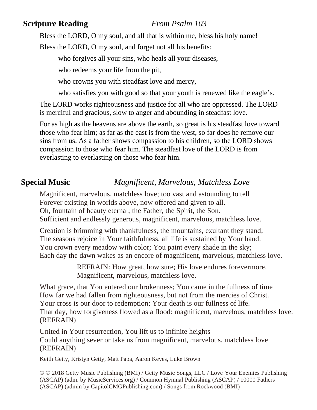# **Scripture Reading** *From Psalm 103*

Bless the LORD, O my soul, and all that is within me, bless his holy name!

Bless the LORD, O my soul, and forget not all his benefits:

who forgives all your sins, who heals all your diseases,

who redeems your life from the pit,

who crowns you with steadfast love and mercy,

who satisfies you with good so that your youth is renewed like the eagle's.

The LORD works righteousness and justice for all who are oppressed. The LORD is merciful and gracious, slow to anger and abounding in steadfast love.

For as high as the heavens are above the earth, so great is his steadfast love toward those who fear him; as far as the east is from the west, so far does he remove our sins from us. As a father shows compassion to his children, so the LORD shows compassion to those who fear him. The steadfast love of the LORD is from everlasting to everlasting on those who fear him.

# **Special Music** *Magnificent, Marvelous, Matchless Love*

Magnificent, marvelous, matchless love; too vast and astounding to tell Forever existing in worlds above, now offered and given to all. Oh, fountain of beauty eternal; the Father, the Spirit, the Son. Sufficient and endlessly generous, magnificent, marvelous, matchless love.

Creation is brimming with thankfulness, the mountains, exultant they stand; The seasons rejoice in Your faithfulness, all life is sustained by Your hand. You crown every meadow with color; You paint every shade in the sky; Each day the dawn wakes as an encore of magnificent, marvelous, matchless love.

> REFRAIN: How great, how sure; His love endures forevermore. Magnificent, marvelous, matchless love.

What grace, that You entered our brokenness; You came in the fullness of time How far we had fallen from righteousness, but not from the mercies of Christ. Your cross is our door to redemption; Your death is our fullness of life. That day, how forgiveness flowed as a flood: magnificent, marvelous, matchless love. (REFRAIN)

United in Your resurrection, You lift us to infinite heights Could anything sever or take us from magnificent, marvelous, matchless love (REFRAIN)

Keith Getty, Kristyn Getty, Matt Papa, Aaron Keyes, Luke Brown

© © 2018 Getty Music Publishing (BMI) / Getty Music Songs, LLC / Love Your Enemies Publishing (ASCAP) (adm. by MusicServices.org) / Common Hymnal Publishing (ASCAP) / 10000 Fathers (ASCAP) (admin by CapitolCMGPublishing.com) / Songs from Rockwood (BMI)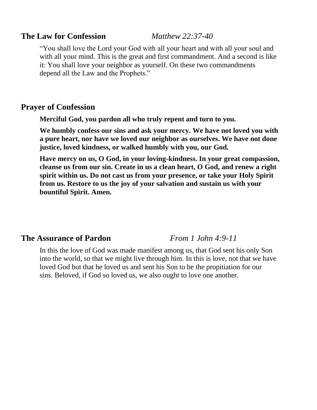#### **The Law for Confession** *Matthew 22:37-40*

"You shall love the Lord your God with all your heart and with all your soul and with all your mind. This is the great and first commandment. And a second is like it: You shall love your neighbor as yourself. On these two commandments depend all the Law and the Prophets."

# **Prayer of Confession**

**Merciful God, you pardon all who truly repent and turn to you.** 

**We humbly confess our sins and ask your mercy. We have not loved you with a pure heart, nor have we loved our neighbor as ourselves. We have not done justice, loved kindness, or walked humbly with you, our God.** 

**Have mercy on us, O God, in your loving-kindness. In your great compassion, cleanse us from our sin. Create in us a clean heart, O God, and renew a right spirit within us. Do not cast us from your presence, or take your Holy Spirit from us. Restore to us the joy of your salvation and sustain us with your bountiful Spirit. Amen.**

# **The Assurance of Pardon** *From 1 John 4:9-11*

In this the love of God was made manifest among us, that God sent his only Son into the world, so that we might live through him. In this is love, not that we have loved God but that he loved us and sent his Son to be the propitiation for our sins. Beloved, if God so loved us, we also ought to love one another.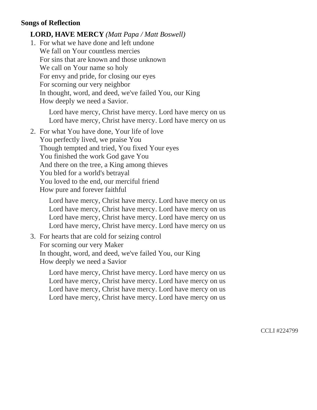#### **Songs of Reflection**

#### **LORD, HAVE MERCY** *(Matt Papa / Matt Boswell)*

1. For what we have done and left undone We fall on Your countless mercies For sins that are known and those unknown We call on Your name so holy For envy and pride, for closing our eyes For scorning our very neighbor In thought, word, and deed, we've failed You, our King How deeply we need a Savior.

Lord have mercy, Christ have mercy. Lord have mercy on us Lord have mercy, Christ have mercy. Lord have mercy on us

2. For what You have done, Your life of love

You perfectly lived, we praise You Though tempted and tried, You fixed Your eyes You finished the work God gave You And there on the tree, a King among thieves You bled for a world's betrayal You loved to the end, our merciful friend How pure and forever faithful

Lord have mercy, Christ have mercy. Lord have mercy on us Lord have mercy, Christ have mercy. Lord have mercy on us Lord have mercy, Christ have mercy. Lord have mercy on us Lord have mercy, Christ have mercy. Lord have mercy on us

3. For hearts that are cold for seizing control For scorning our very Maker In thought, word, and deed, we've failed You, our King How deeply we need a Savior

> Lord have mercy, Christ have mercy. Lord have mercy on us Lord have mercy, Christ have mercy. Lord have mercy on us Lord have mercy, Christ have mercy. Lord have mercy on us Lord have mercy, Christ have mercy. Lord have mercy on us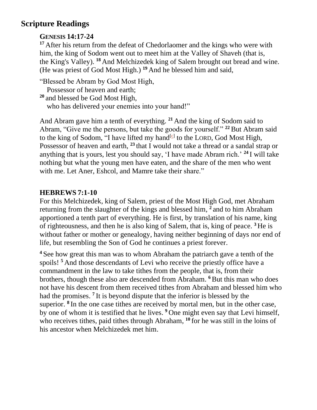# **Scripture Readings**

# **GENESIS 14:17-24**

<sup>17</sup> After his return from the defeat of Chedorlaomer and the kings who were with him, the king of Sodom went out to meet him at the Valley of Shaveh (that is, the King's Valley). **<sup>18</sup>** And Melchizedek king of Salem brought out bread and wine. (He was priest of God Most High.) **<sup>19</sup>** And he blessed him and said,

"Blessed be Abram by God Most High,

Possessor of heaven and earth;

**<sup>20</sup>** and blessed be God Most High, who has delivered your enemies into your hand!"

And Abram gave him a tenth of everything. **<sup>21</sup>** And the king of Sodom said to Abram, "Give me the persons, but take the goods for yourself." **<sup>22</sup>**But Abram said to the king of Sodom, "I have lifted my hand $[G]$  to the LORD, God Most High, Possessor of heaven and earth, **<sup>23</sup>** that I would not take a thread or a sandal strap or anything that is yours, lest you should say, 'I have made Abram rich.' **<sup>24</sup>** I will take nothing but what the young men have eaten, and the share of the men who went with me. Let Aner, Eshcol, and Mamre take their share."

# **HEBREWS 7:1-10**

For this Melchizedek, king of Salem, priest of the Most High God, met Abraham returning from the slaughter of the kings and blessed him, **2** and to him Abraham apportioned a tenth part of everything. He is first, by translation of his name, king of righteousness, and then he is also king of Salem, that is, king of peace. **<sup>3</sup>** He is without father or mother or genealogy, having neither beginning of days nor end of life, but resembling the Son of God he continues a priest forever.

**<sup>4</sup>** See how great this man was to whom Abraham the patriarch gave a tenth of the spoils!<sup>5</sup> And those descendants of Levi who receive the priestly office have a commandment in the law to take tithes from the people, that is, from their brothers, though these also are descended from Abraham. **<sup>6</sup>**But this man who does not have his descent from them received tithes from Abraham and blessed him who had the promises. **7** It is beyond dispute that the inferior is blessed by the superior. <sup>8</sup> In the one case tithes are received by mortal men, but in the other case, by one of whom it is testified that he lives. **<sup>9</sup>** One might even say that Levi himself, who receives tithes, paid tithes through Abraham, <sup>10</sup> for he was still in the loins of his ancestor when Melchizedek met him.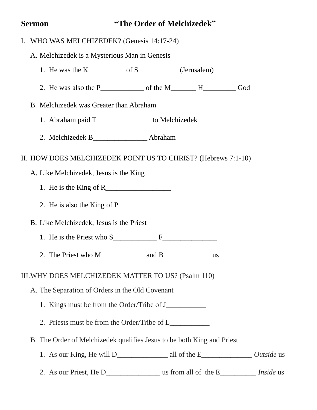# **Sermon "The Order of Melchizedek"**

|  | I. WHO WAS MELCHIZEDEK? (Genesis 14:17-24)                             |  |  |
|--|------------------------------------------------------------------------|--|--|
|  | A. Melchizedek is a Mysterious Man in Genesis                          |  |  |
|  |                                                                        |  |  |
|  |                                                                        |  |  |
|  | B. Melchizedek was Greater than Abraham                                |  |  |
|  | 1. Abraham paid T_________________ to Melchizedek                      |  |  |
|  | 2. Melchizedek B_____________________Abraham                           |  |  |
|  | II. HOW DOES MELCHIZEDEK POINT US TO CHRIST? (Hebrews 7:1-10)          |  |  |
|  | A. Like Melchizedek, Jesus is the King                                 |  |  |
|  |                                                                        |  |  |
|  | 2. He is also the King of $P_{\perp}$                                  |  |  |
|  | B. Like Melchizedek, Jesus is the Priest                               |  |  |
|  | 1. He is the Priest who $S_$ $F_$                                      |  |  |
|  |                                                                        |  |  |
|  | III. WHY DOES MELCHIZEDEK MATTER TO US? (Psalm 110)                    |  |  |
|  | A. The Separation of Orders in the Old Covenant                        |  |  |
|  |                                                                        |  |  |
|  | 2. Priests must be from the Order/Tribe of L                           |  |  |
|  | B. The Order of Melchizedek qualifies Jesus to be both King and Priest |  |  |
|  |                                                                        |  |  |
|  |                                                                        |  |  |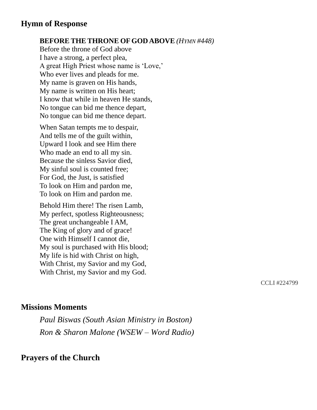# **Hymn of Response**

#### **BEFORE THE THRONE OF GOD ABOVE** *(HYMN #448)*

Before the throne of God above I have a strong, a perfect plea, A great High Priest whose name is 'Love,' Who ever lives and pleads for me. My name is graven on His hands, My name is written on His heart; I know that while in heaven He stands, No tongue can bid me thence depart, No tongue can bid me thence depart.

When Satan tempts me to despair, And tells me of the guilt within, Upward I look and see Him there Who made an end to all my sin. Because the sinless Savior died, My sinful soul is counted free; For God, the Just, is satisfied To look on Him and pardon me, To look on Him and pardon me.

Behold Him there! The risen Lamb, My perfect, spotless Righteousness; The great unchangeable I AM, The King of glory and of grace! One with Himself I cannot die, My soul is purchased with His blood; My life is hid with Christ on high, With Christ, my Savior and my God, With Christ, my Savior and my God.

CCLI #224799

## **Missions Moments**

*Paul Biswas (South Asian Ministry in Boston) Ron & Sharon Malone (WSEW – Word Radio)* 

# **Prayers of the Church**